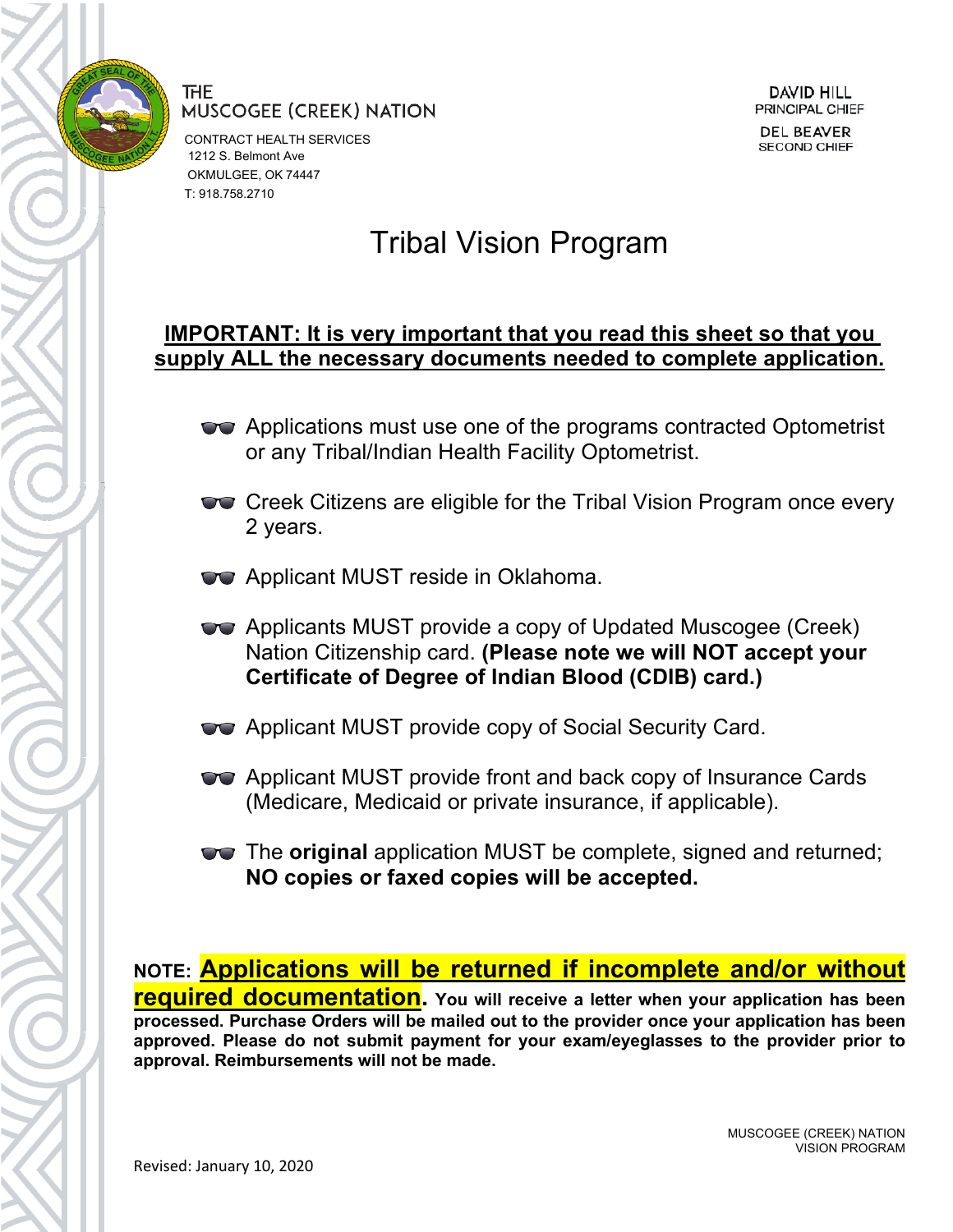

CONTRACT HEALTH SERVICES 1212 S. Belmont Ave OKMULGEE, OK 74447 T: 918.758.2710

### Tribal Vision Program

### **IMPORTANT: It is very important that you read this sheet so that you supply ALL the necessary documents needed to complete application.**

- **The Applications must use one of the programs contracted Optometrist** or any Tribal/Indian Health Facility Optometrist.
- **Creek Citizens are eligible for the Tribal Vision Program once every** 2 years.
- **Applicant MUST reside in Oklahoma.**
- Applicants MUST provide a copy of Updated Muscogee (Creek) Nation Citizenship card. **(Please note we will NOT accept your Certificate of Degree of Indian Blood (CDIB) card.)**
- **The Applicant MUST provide copy of Social Security Card.**
- **The Applicant MUST provide front and back copy of Insurance Cards** (Medicare, Medicaid or private insurance, if applicable).
- The **original** application MUST be complete, signed and returned; **NO copies or faxed copies will be accepted.**

**NOTE: Applications will be returned if incomplete and/or without required documentation. You will receive a letter when your application has been processed. Purchase Orders will be mailed out to the provider once your application has been approved. Please do not submit payment for your exam/eyeglasses to the provider prior to approval. Reimbursements will not be made.**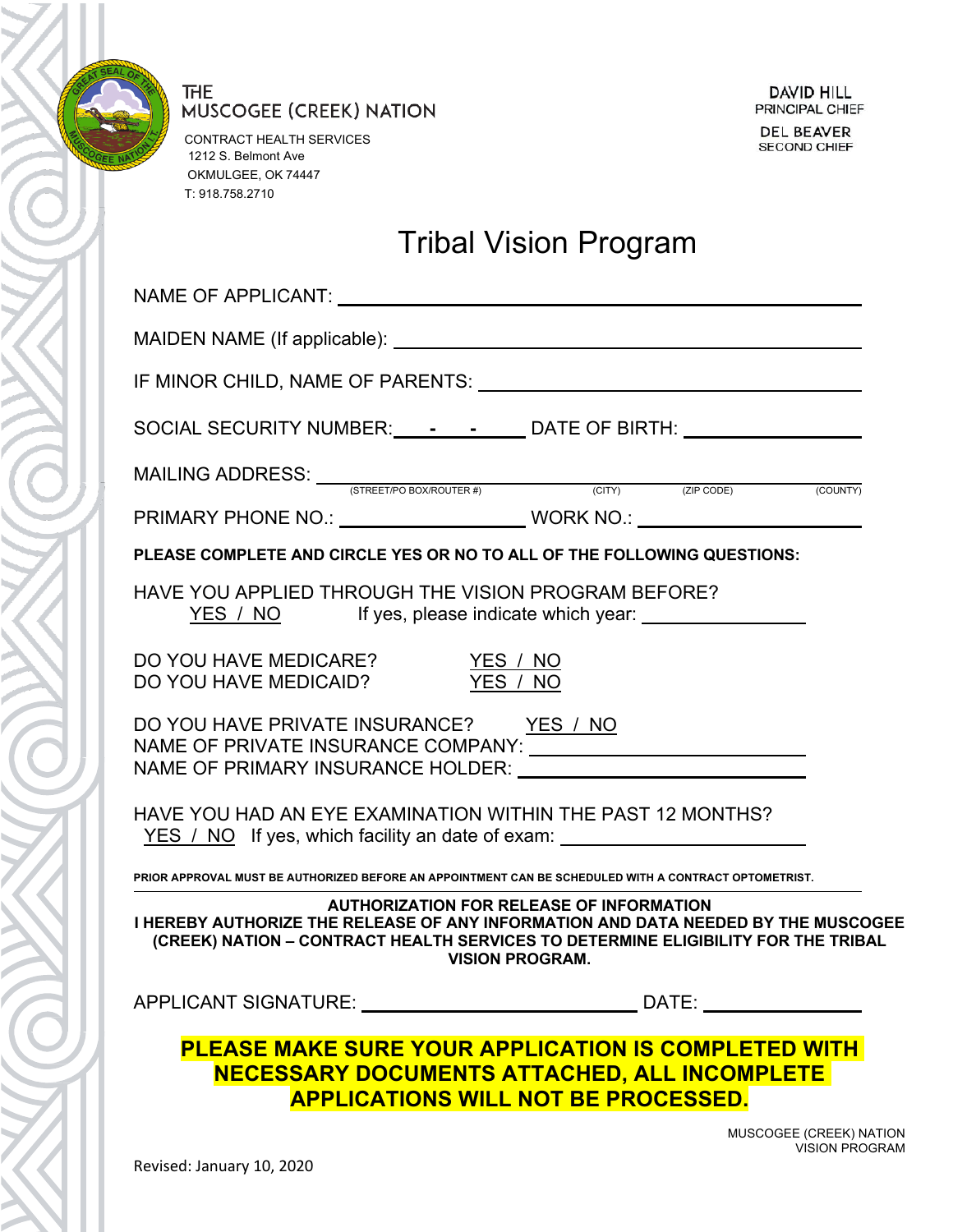

CONTRACT HEALTH SERVICES 1212 S. Belmont Ave OKMULGEE, OK 74447 T: 918.758.2710

# Tribal Vision Program

| IF MINOR CHILD, NAME OF PARENTS: University of MINOR CHILD, NAME OF PARENTS:                                                                                                                                                                        |
|-----------------------------------------------------------------------------------------------------------------------------------------------------------------------------------------------------------------------------------------------------|
| SOCIAL SECURITY NUMBER: _______________ DATE OF BIRTH: _________________________                                                                                                                                                                    |
|                                                                                                                                                                                                                                                     |
| PRIMARY PHONE NO.: ____________________________WORK NO.: _______________________                                                                                                                                                                    |
| PLEASE COMPLETE AND CIRCLE YES OR NO TO ALL OF THE FOLLOWING QUESTIONS:                                                                                                                                                                             |
| HAVE YOU APPLIED THROUGH THE VISION PROGRAM BEFORE?<br><u>YES / NO</u> If yes, please indicate which year:                                                                                                                                          |
| DO YOU HAVE MEDICARE? YES / NO<br>DO YOU HAVE MEDICAID? YES / NO                                                                                                                                                                                    |
| DO YOU HAVE PRIVATE INSURANCE? YES / NO<br>NAME OF PRIMARY INSURANCE HOLDER: NAME OF PRIMARY INSURANCE HOLDER:                                                                                                                                      |
| HAVE YOU HAD AN EYE EXAMINATION WITHIN THE PAST 12 MONTHS?<br><u>YES / NO</u> If yes, which facility an date of exam: <u>____________________________</u>                                                                                           |
| PRIOR APPROVAL MUST BE AUTHORIZED BEFORE AN APPOINTMENT CAN BE SCHEDULED WITH A CONTRACT OPTOMETRIST.                                                                                                                                               |
| <b>AUTHORIZATION FOR RELEASE OF INFORMATION</b><br>I HEREBY AUTHORIZE THE RELEASE OF ANY INFORMATION AND DATA NEEDED BY THE MUSCOGEE<br>(CREEK) NATION - CONTRACT HEALTH SERVICES TO DETERMINE ELIGIBILITY FOR THE TRIBAL<br><b>VISION PROGRAM.</b> |
|                                                                                                                                                                                                                                                     |
| <b>PLEASE MAKE SURE YOUR APPLICATION IS COMPLETED WITH</b><br><b>NECESSARY DOCUMENTS ATTACHED, ALL INCOMPLETE</b><br><b>APPLICATIONS WILL NOT BE PROCESSED.</b>                                                                                     |

MUSCOGEE (CREEK) NATION VISION PROGRAM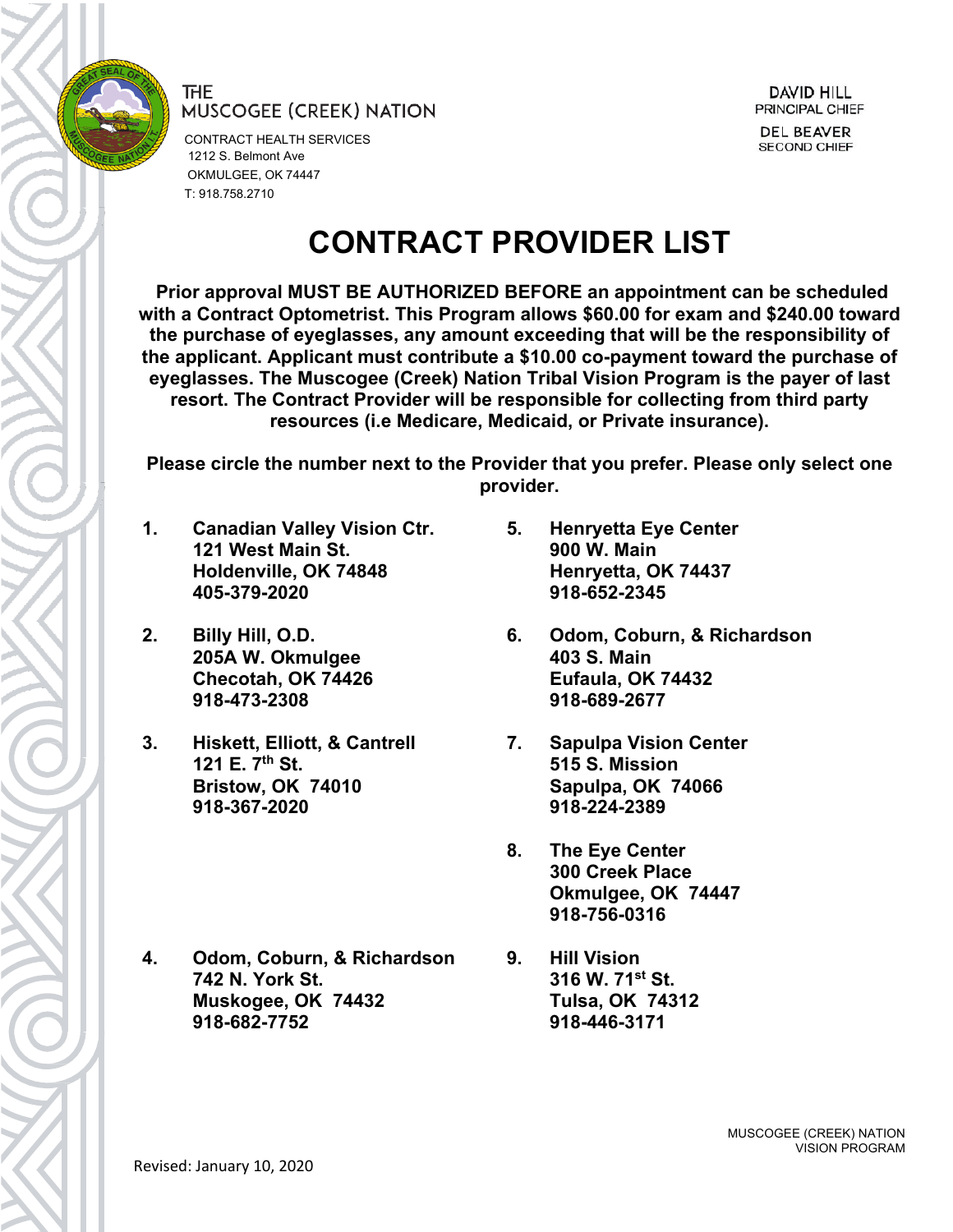

CONTRACT HEALTH SERVICES 1212 S. Belmont Ave OKMULGEE, OK 74447 T: 918.758.2710

# **CONTRACT PROVIDER LIST**

**Prior approval MUST BE AUTHORIZED BEFORE an appointment can be scheduled with a Contract Optometrist. This Program allows \$60.00 for exam and \$240.00 toward the purchase of eyeglasses, any amount exceeding that will be the responsibility of the applicant. Applicant must contribute a \$10.00 co-payment toward the purchase of eyeglasses. The Muscogee (Creek) Nation Tribal Vision Program is the payer of last resort. The Contract Provider will be responsible for collecting from third party resources (i.e Medicare, Medicaid, or Private insurance).**

**Please circle the number next to the Provider that you prefer. Please only select one provider.**

- **1. Canadian Valley Vision Ctr. 121 West Main St. Holdenville, OK 74848 405-379-2020**
- **2. Billy Hill, O.D. 205A W. Okmulgee Checotah, OK 74426 918-473-2308**
- **3. Hiskett, Elliott, & Cantrell 121 E. 7th St. Bristow, OK 74010 918-367-2020**

**4. Odom, Coburn, & Richardson 742 N. York St. Muskogee, OK 74432 918-682-7752**

- **5. Henryetta Eye Center 900 W. Main Henryetta, OK 74437 918-652-2345**
- **6. Odom, Coburn, & Richardson 403 S. Main Eufaula, OK 74432 918-689-2677**
- **7. Sapulpa Vision Center 515 S. Mission Sapulpa, OK 74066 918-224-2389**
- **8. The Eye Center 300 Creek Place Okmulgee, OK 74447 918-756-0316**
- **9. Hill Vision 316 W. 71st St. Tulsa, OK 74312 918-446-3171**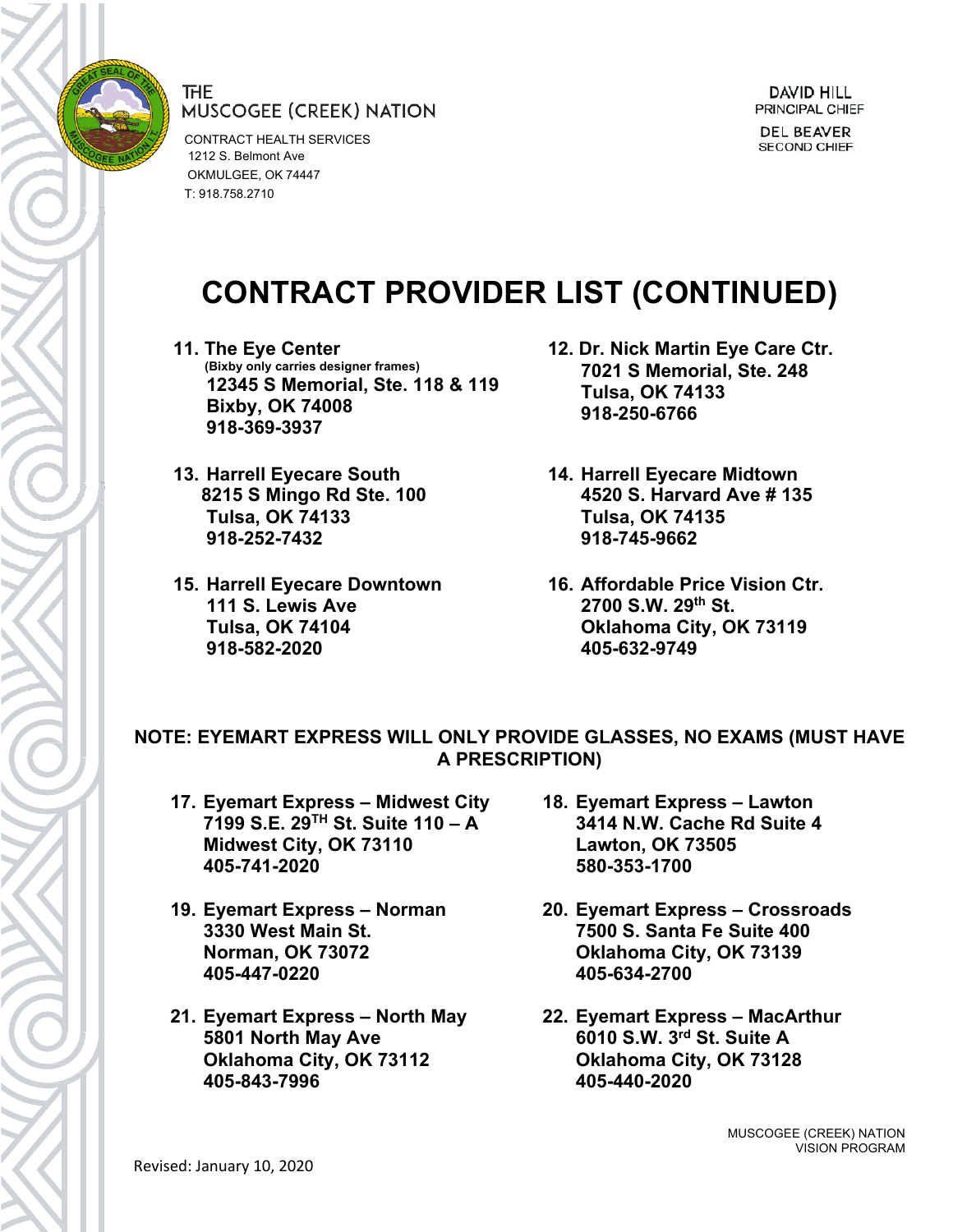

CONTRACT HEALTH SERVICES 1212 S. Belmont Ave OKMULGEE, OK 74447 T: 918.758.2710

# **CONTRACT PROVIDER LIST (CONTINUED)**

- **11. The Eye Center (Bixby only carries designer frames) 12345 S Memorial, Ste. 118 & 119 Bixby, OK 74008 918-369-3937**
- **13. Harrell Eyecare South 8215 S Mingo Rd Ste. 100 Tulsa, OK 74133 918-252-7432**
- **15. Harrell Eyecare Downtown 111 S. Lewis Ave Tulsa, OK 74104 918-582-2020**
- **12. Dr. Nick Martin Eye Care Ctr. 7021 S Memorial, Ste. 248 Tulsa, OK 74133 918-250-6766**
- **14. Harrell Eyecare Midtown 4520 S. Harvard Ave # 135 Tulsa, OK 74135 918-745-9662**
- **16. Affordable Price Vision Ctr. 2700 S.W. 29th St. Oklahoma City, OK 73119 405-632-9749**

### **NOTE: EYEMART EXPRESS WILL ONLY PROVIDE GLASSES, NO EXAMS (MUST HAVE A PRESCRIPTION)**

- **17. Eyemart Express – Midwest City 7199 S.E. 29TH St. Suite 110 – A Midwest City, OK 73110 405-741-2020**
- **19. Eyemart Express – Norman 3330 West Main St. Norman, OK 73072 405-447-0220**
- **21. Eyemart Express – North May 5801 North May Ave Oklahoma City, OK 73112 405-843-7996**
- **18. Eyemart Express – Lawton 3414 N.W. Cache Rd Suite 4 Lawton, OK 73505 580-353-1700**
- **20. Eyemart Express – Crossroads 7500 S. Santa Fe Suite 400 Oklahoma City, OK 73139 405-634-2700**
- **22. Eyemart Express – MacArthur 6010 S.W. 3rd St. Suite A Oklahoma City, OK 73128 405-440-2020**